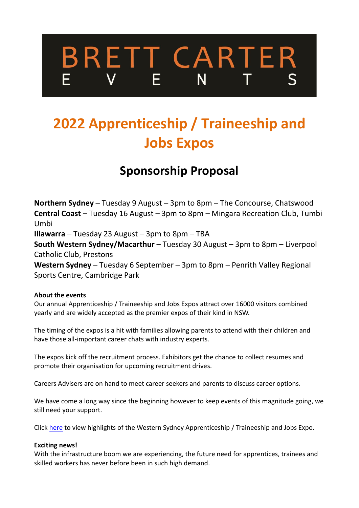# **BRETT CARTER**  $N$

## **2022 Apprenticeship / Traineeship and Jobs Expos**

### **Sponsorship Proposal**

**Northern Sydney** – Tuesday 9 August – 3pm to 8pm – The Concourse, Chatswood **Central Coast** – Tuesday 16 August – 3pm to 8pm – Mingara Recreation Club, Tumbi Umbi

**Illawarra** – Tuesday 23 August – 3pm to 8pm – TBA

**South Western Sydney/Macarthur** – Tuesday 30 August – 3pm to 8pm – Liverpool Catholic Club, Prestons

**Western Sydney** – Tuesday 6 September – 3pm to 8pm – Penrith Valley Regional Sports Centre, Cambridge Park

#### **About the events**

Our annual Apprenticeship / Traineeship and Jobs Expos attract over 16000 visitors combined yearly and are widely accepted as the premier expos of their kind in NSW.

The timing of the expos is a hit with families allowing parents to attend with their children and have those all-important career chats with industry experts.

The expos kick off the recruitment process. Exhibitors get the chance to collect resumes and promote their organisation for upcoming recruitment drives.

Careers Advisers are on hand to meet career seekers and parents to discuss career options.

We have come a long way since the beginning however to keep events of this magnitude going, we still need your support.

Click [here](https://www.youtube.com/watch?v=Cyv_QCLNI1A&t=27s) to view highlights of the Western Sydney Apprenticeship / Traineeship and Jobs Expo.

#### **Exciting news!**

With the infrastructure boom we are experiencing, the future need for apprentices, trainees and skilled workers has never before been in such high demand.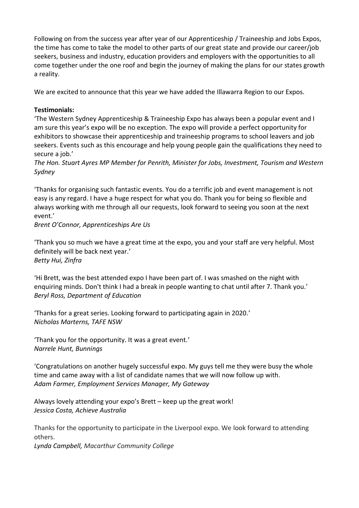Following on from the success year after year of our Apprenticeship / Traineeship and Jobs Expos, the time has come to take the model to other parts of our great state and provide our career/job seekers, business and industry, education providers and employers with the opportunities to all come together under the one roof and begin the journey of making the plans for our states growth a reality.

We are excited to announce that this year we have added the Illawarra Region to our Expos.

#### **Testimonials:**

'The Western Sydney Apprenticeship & Traineeship Expo has always been a popular event and I am sure this year's expo will be no exception. The expo will provide a perfect opportunity for exhibitors to showcase their apprenticeship and traineeship programs to school leavers and job seekers. Events such as this encourage and help young people gain the qualifications they need to secure a job.'

*The Hon. Stuart Ayres MP Member for Penrith, Minister for Jobs, Investment, Tourism and Western Sydney*

'Thanks for organising such fantastic events. You do a terrific job and event management is not easy is any regard. I have a huge respect for what you do. Thank you for being so flexible and always working with me through all our requests, look forward to seeing you soon at the next event.'

*Brent O'Connor, Apprenticeships Are Us*

'Thank you so much we have a great time at the expo, you and your staff are very helpful. Most definitely will be back next year.' *Betty Hui, Zinfra*

'Hi Brett, was the best attended expo I have been part of. I was smashed on the night with enquiring minds. Don't think I had a break in people wanting to chat until after 7. Thank you.' *Beryl Ross, Department of Education*

'Thanks for a great series. Looking forward to participating again in 2020.' *Nicholas Marterns, TAFE NSW*

'Thank you for the opportunity. It was a great event.' *Narrele Hunt, Bunnings*

'Congratulations on another hugely successful expo. My guys tell me they were busy the whole time and came away with a list of candidate names that we will now follow up with. *Adam Farmer, Employment Services Manager, My Gateway*

Always lovely attending your expo's Brett – keep up the great work! *Jessica Costa, Achieve Australia*

Thanks for the opportunity to participate in the Liverpool expo. We look forward to attending others.

*Lynda Campbell, Macarthur Community College*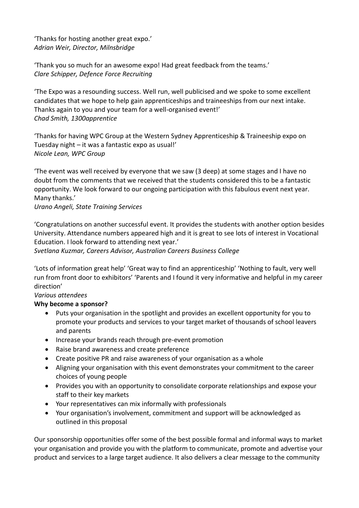'Thanks for hosting another great expo.' *Adrian Weir, Director, Milnsbridge*

'Thank you so much for an awesome expo! Had great feedback from the teams.' *Clare Schipper, Defence Force Recruiting*

'The Expo was a resounding success. Well run, well publicised and we spoke to some excellent candidates that we hope to help gain apprenticeships and traineeships from our next intake. Thanks again to you and your team for a well-organised event!' *Chad Smith, 1300apprentice*

'Thanks for having WPC Group at the Western Sydney Apprenticeship & Traineeship expo on Tuesday night – it was a fantastic expo as usual!' *Nicole Lean, WPC Group*

'The event was well received by everyone that we saw (3 deep) at some stages and I have no doubt from the comments that we received that the students considered this to be a fantastic opportunity. We look forward to our ongoing participation with this fabulous event next year. Many thanks.'

*Urano Angeli, State Training Services*

'Congratulations on another successful event. It provides the students with another option besides University. Attendance numbers appeared high and it is great to see lots of interest in Vocational Education. I look forward to attending next year.'

*Svetlana Kuzmar, Careers Advisor, Australian Careers Business College*

'Lots of information great help' 'Great way to find an apprenticeship' 'Nothing to fault, very well run from front door to exhibitors' 'Parents and I found it very informative and helpful in my career direction'

#### *Various attendees*

#### **Why become a sponsor?**

- Puts your organisation in the spotlight and provides an excellent opportunity for you to promote your products and services to your target market of thousands of school leavers and parents
- Increase your brands reach through pre-event promotion
- Raise brand awareness and create preference
- Create positive PR and raise awareness of your organisation as a whole
- Aligning your organisation with this event demonstrates your commitment to the career choices of young people
- Provides you with an opportunity to consolidate corporate relationships and expose your staff to their key markets
- Your representatives can mix informally with professionals
- Your organisation's involvement, commitment and support will be acknowledged as outlined in this proposal

Our sponsorship opportunities offer some of the best possible formal and informal ways to market your organisation and provide you with the platform to communicate, promote and advertise your product and services to a large target audience. It also delivers a clear message to the community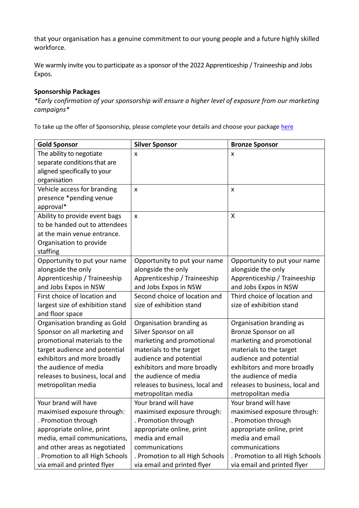that your organisation has a genuine commitment to our young people and a future highly skilled workforce.

We warmly invite you to participate as a sponsor of the 2022 Apprenticeship / Traineeship and Jobs Expos.

#### **Sponsorship Packages**

*\*Early confirmation of your sponsorship will ensure a higher level of exposure from our marketing campaigns\**

To take up the offer of Sponsorship, please complete your details and choose your package [here](https://bit.ly/3f7LZgC)

| <b>Gold Sponsor</b>                                   | <b>Silver Sponsor</b>                                 | <b>Bronze Sponsor</b>                                    |
|-------------------------------------------------------|-------------------------------------------------------|----------------------------------------------------------|
| The ability to negotiate                              | X                                                     | x                                                        |
| separate conditions that are                          |                                                       |                                                          |
| aligned specifically to your                          |                                                       |                                                          |
| organisation                                          |                                                       |                                                          |
| Vehicle access for branding                           | $\mathsf{x}$                                          | X                                                        |
| presence *pending venue                               |                                                       |                                                          |
| approval*                                             |                                                       |                                                          |
| Ability to provide event bags                         | $\mathsf{x}$                                          | X                                                        |
| to be handed out to attendees                         |                                                       |                                                          |
| at the main venue entrance.                           |                                                       |                                                          |
| Organisation to provide<br>staffing                   |                                                       |                                                          |
| Opportunity to put your name                          | Opportunity to put your name                          | Opportunity to put your name                             |
| alongside the only                                    | alongside the only                                    | alongside the only                                       |
| Apprenticeship / Traineeship                          | Apprenticeship / Traineeship                          | Apprenticeship / Traineeship                             |
| and Jobs Expos in NSW                                 | and Jobs Expos in NSW                                 | and Jobs Expos in NSW                                    |
| First choice of location and                          | Second choice of location and                         | Third choice of location and                             |
| largest size of exhibition stand                      | size of exhibition stand                              | size of exhibition stand                                 |
| and floor space                                       |                                                       |                                                          |
| Organisation branding as Gold                         | Organisation branding as                              | Organisation branding as                                 |
| Sponsor on all marketing and                          | Silver Sponsor on all                                 | Bronze Sponsor on all                                    |
| promotional materials to the                          | marketing and promotional                             | marketing and promotional                                |
| target audience and potential                         | materials to the target                               | materials to the target                                  |
| exhibitors and more broadly                           | audience and potential                                | audience and potential                                   |
| the audience of media                                 | exhibitors and more broadly<br>the audience of media  | exhibitors and more broadly                              |
| releases to business, local and<br>metropolitan media |                                                       | the audience of media<br>releases to business, local and |
|                                                       | releases to business, local and<br>metropolitan media | metropolitan media                                       |
| Your brand will have                                  | Your brand will have                                  | Your brand will have                                     |
| maximised exposure through:                           | maximised exposure through:                           | maximised exposure through:                              |
| . Promotion through                                   | . Promotion through                                   | . Promotion through                                      |
| appropriate online, print                             | appropriate online, print                             | appropriate online, print                                |
| media, email communications,                          | media and email                                       | media and email                                          |
| and other areas as negotiated                         | communications                                        | communications                                           |
| . Promotion to all High Schools                       | . Promotion to all High Schools                       | . Promotion to all High Schools                          |
| via email and printed flyer                           | via email and printed flyer                           | via email and printed flyer                              |